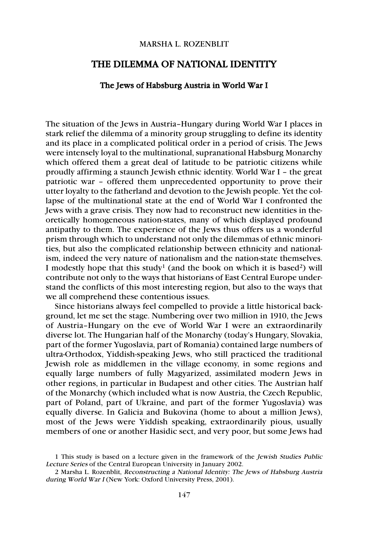## MARSHA L. ROZENBLIT

## THE DILEMMA OF NATIONAL IDENTITY

## The Jews of Habsburg Austria in World War I

The situation of the Jews in Austria–Hungary during World War I places in stark relief the dilemma of a minority group struggling to define its identity and its place in a complicated political order in a period of crisis. The Jews were intensely loyal to the multinational, supranational Habsburg Monarchy which offered them a great deal of latitude to be patriotic citizens while proudly affirming a staunch Jewish ethnic identity. World War I – the great patriotic war – offered them unprecedented opportunity to prove their utter loyalty to the fatherland and devotion to the Jewish people. Yet the collapse of the multinational state at the end of World War I confronted the Jews with a grave crisis. They now had to reconstruct new identities in theoretically homogeneous nation-states, many of which displayed profound antipathy to them. The experience of the Jews thus offers us a wonderful prism through which to understand not only the dilemmas of ethnic minorities, but also the complicated relationship between ethnicity and nationalism, indeed the very nature of nationalism and the nation-state themselves. I modestly hope that this study<sup>1</sup> (and the book on which it is based<sup>2</sup>) will contribute not only to the ways that historians of East Central Europe understand the conflicts of this most interesting region, but also to the ways that we all comprehend these contentious issues.

Since historians always feel compelled to provide a little historical background, let me set the stage. Numbering over two million in 1910, the Jews of Austria–Hungary on the eve of World War I were an extraordinarily diverse lot. The Hungarian half of the Monarchy (today's Hungary, Slovakia, part of the former Yugoslavia, part of Romania) contained large numbers of ultra-Orthodox, Yiddish-speaking Jews, who still practiced the traditional Jewish role as middlemen in the village economy, in some regions and equally large numbers of fully Magyarized, assimilated modern Jews in other regions, in particular in Budapest and other cities. The Austrian half of the Monarchy (which included what is now Austria, the Czech Republic, part of Poland, part of Ukraine, and part of the former Yugoslavia) was equally diverse. In Galicia and Bukovina (home to about a million Jews), most of the Jews were Yiddish speaking, extraordinarily pious, usually members of one or another Hasidic sect, and very poor, but some Jews had

<sup>1</sup> This study is based on a lecture given in the framework of the Jewish Studies Public Lecture Series of the Central European University in January 2002.

<sup>2</sup> Marsha L. Rozenblit, Reconstructing a National Identity: The Jews of Habsburg Austria during World War I (New York: Oxford University Press, 2001).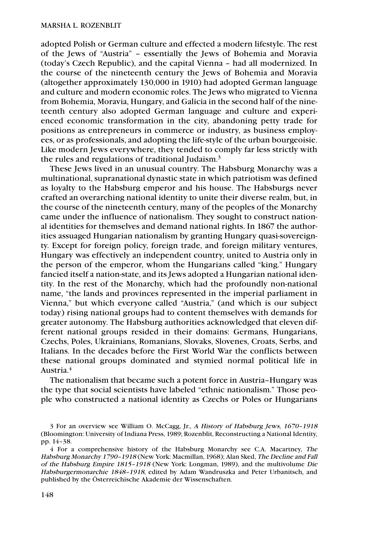adopted Polish or German culture and effected a modern lifestyle. The rest of the Jews of "Austria" – essentially the Jews of Bohemia and Moravia (today's Czech Republic), and the capital Vienna – had all modernized. In the course of the nineteenth century the Jews of Bohemia and Moravia (altogether approximately 130,000 in 1910) had adopted German language and culture and modern economic roles. The Jews who migrated to Vienna from Bohemia, Moravia, Hungary, and Galicia in the second half of the nineteenth century also adopted German language and culture and experienced economic transformation in the city, abandoning petty trade for positions as entrepreneurs in commerce or industry, as business employees, or as professionals, and adopting the life-style of the urban bourgeoisie. Like modern Jews everywhere, they tended to comply far less strictly with the rules and regulations of traditional Judaism.3

These Jews lived in an unusual country. The Habsburg Monarchy was a multinational, supranational dynastic state in which patriotism was defined as loyalty to the Habsburg emperor and his house. The Habsburgs never crafted an overarching national identity to unite their diverse realm, but, in the course of the nineteenth century, many of the peoples of the Monarchy came under the influence of nationalism. They sought to construct national identities for themselves and demand national rights. In 1867 the authorities assuaged Hungarian nationalism by granting Hungary quasi-sovereignty. Except for foreign policy, foreign trade, and foreign military ventures, Hungary was effectively an independent country, united to Austria only in the person of the emperor, whom the Hungarians called "king." Hungary fancied itself a nation-state, and its Jews adopted a Hungarian national identity. In the rest of the Monarchy, which had the profoundly non-national name, "the lands and provinces represented in the imperial parliament in Vienna," but which everyone called "Austria," (and which is our subject today) rising national groups had to content themselves with demands for greater autonomy. The Habsburg authorities acknowledged that eleven different national groups resided in their domains: Germans, Hungarians, Czechs, Poles, Ukrainians, Romanians, Slovaks, Slovenes, Croats, Serbs, and Italians. In the decades before the First World War the conflicts between these national groups dominated and stymied normal political life in Austria.4

The nationalism that became such a potent force in Austria–Hungary was the type that social scientists have labeled "ethnic nationalism." Those people who constructed a national identity as Czechs or Poles or Hungarians

<sup>3</sup> For an overview see William O. McCagg, Jr., A History of Habsburg Jews, 1670–1918 (Bloomington: University of Indiana Press, 1989; Rozenblit, Reconstructing a National Identity, pp. 14–38.

<sup>4</sup> For a comprehensive history of the Habsburg Monarchy see C.A. Macartney, The Habsburg Monarchy 1790–1918 (New York: Macmillan, 1968); Alan Sked, The Decline and Fall of the Habsburg Empire 1815–1918 (New York: Longman, 1989), and the multivolume Die Habsburgermonarchie 1848–1918, edited by Adam Wandruszka and Peter Urbanitsch, and published by the Österreichische Akademie der Wissenschaften.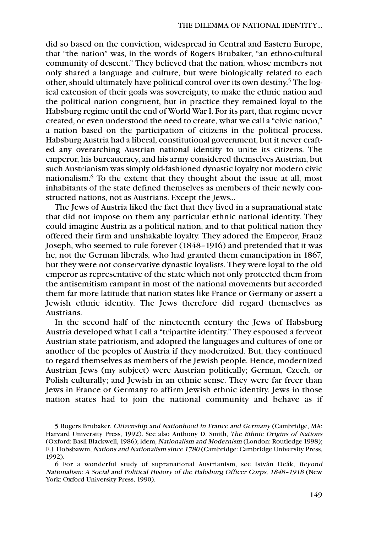did so based on the conviction, widespread in Central and Eastern Europe, that "the nation" was, in the words of Rogers Brubaker, "an ethno-cultural community of descent." They believed that the nation, whose members not only shared a language and culture, but were biologically related to each other, should ultimately have political control over its own destiny. <sup>5</sup> The logical extension of their goals was sovereignty, to make the ethnic nation and the political nation congruent, but in practice they remained loyal to the Habsburg regime until the end of World War I. For its part, that regime never created, or even understood the need to create, what we call a "civic nation," a nation based on the participation of citizens in the political process. Habsburg Austria had a liberal, constitutional government, but it never crafted any overarching Austrian national identity to unite its citizens. The emperor, his bureaucracy, and his army considered themselves Austrian, but such Austrianism was simply old-fashioned dynastic loyalty not modern civic nationalism.6 To the extent that they thought about the issue at all, most inhabitants of the state defined themselves as members of their newly constructed nations, not as Austrians. Except the Jews...

The Jews of Austria liked the fact that they lived in a supranational state that did not impose on them any particular ethnic national identity. They could imagine Austria as a political nation, and to that political nation they offered their firm and unshakable loyalty. They adored the Emperor, Franz Joseph, who seemed to rule forever (1848–1916) and pretended that it was he, not the German liberals, who had granted them emancipation in 1867, but they were not conservative dynastic loyalists. They were loyal to the old emperor as representative of the state which not only protected them from the antisemitism rampant in most of the national movements but accorded them far more latitude that nation states like France or Germany or assert a Jewish ethnic identity. The Jews therefore did regard themselves as Austrians.

In the second half of the nineteenth century the Jews of Habsburg Austria developed what I call a "tripartite identity." They espoused a fervent Austrian state patriotism, and adopted the languages and cultures of one or another of the peoples of Austria if they modernized. But, they continued to regard themselves as members of the Jewish people. Hence, modernized Austrian Jews (my subject) were Austrian politically; German, Czech, or Polish culturally; and Jewish in an ethnic sense. They were far freer than Jews in France or Germany to affirm Jewish ethnic identity. Jews in those nation states had to join the national community and behave as if

<sup>5</sup> Rogers Brubaker, Citizenship and Nationhood in France and Germany (Cambridge, MA: Harvard University Press, 1992). See also Anthony D. Smith, The Ethnic Origins of Nations (Oxford: Basil Blackwell, 1986); idem, Nationalism and Modernism (London: Routledge 1998); E.J. Hobsbawm, Nations and Nationalism since 1780 (Cambridge: Cambridge University Press, 1992).

<sup>6</sup> For a wonderful study of supranational Austrianism, see István Deák, Beyond Nationalism: A Social and Political History of the Habsburg Officer Corps, 1848–1918 (New York: Oxford University Press, 1990).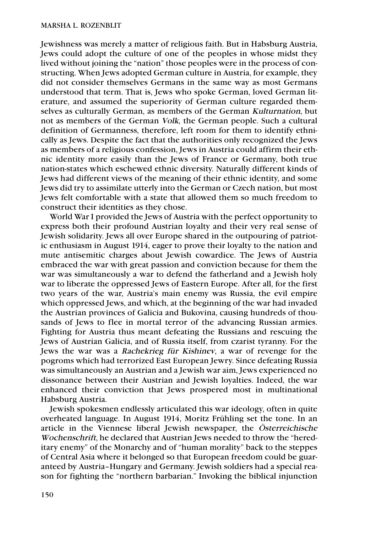Jewishness was merely a matter of religious faith. But in Habsburg Austria, Jews could adopt the culture of one of the peoples in whose midst they lived without joining the "nation" those peoples were in the process of constructing. When Jews adopted German culture in Austria, for example, they did not consider themselves Germans in the same way as most Germans understood that term. That is, Jews who spoke German, loved German literature, and assumed the superiority of German culture regarded themselves as culturally German, as members of the German Kulturnation, but not as members of the German Volk, the German people. Such a cultural definition of Germanness, therefore, left room for them to identify ethnically as Jews. Despite the fact that the authorities only recognized the Jews as members of a religious confession, Jews in Austria could affirm their ethnic identity more easily than the Jews of France or Germany, both true nation-states which eschewed ethnic diversity. Naturally different kinds of Jews had different views of the meaning of their ethnic identity, and some Jews did try to assimilate utterly into the German or Czech nation, but most Jews felt comfortable with a state that allowed them so much freedom to construct their identities as they chose.

World War I provided the Jews of Austria with the perfect opportunity to express both their profound Austrian loyalty and their very real sense of Jewish solidarity. Jews all over Europe shared in the outpouring of patriotic enthusiasm in August 1914, eager to prove their loyalty to the nation and mute antisemitic charges about Jewish cowardice. The Jews of Austria embraced the war with great passion and conviction because for them the war was simultaneously a war to defend the fatherland and a Jewish holy war to liberate the oppressed Jews of Eastern Europe. After all, for the first two years of the war, Austria's main enemy was Russia, the evil empire which oppressed Jews, and which, at the beginning of the war had invaded the Austrian provinces of Galicia and Bukovina, causing hundreds of thousands of Jews to flee in mortal terror of the advancing Russian armies. Fighting for Austria thus meant defeating the Russians and rescuing the Jews of Austrian Galicia, and of Russia itself, from czarist tyranny. For the Jews the war was a Rachekrieg für Kishinev, a war of revenge for the pogroms which had terrorized East European Jewry. Since defeating Russia was simultaneously an Austrian and a Jewish war aim, Jews experienced no dissonance between their Austrian and Jewish loyalties. Indeed, the war enhanced their conviction that Jews prospered most in multinational Habsburg Austria.

Jewish spokesmen endlessly articulated this war ideology, often in quite overheated language. In August 1914, Moritz Frühling set the tone. In an article in the Viennese liberal Jewish newspaper, the Österreichische Wochenschrift, he declared that Austrian Jews needed to throw the "hereditary enemy" of the Monarchy and of "human morality" back to the steppes of Central Asia where it belonged so that European freedom could be guaranteed by Austria–Hungary and Germany. Jewish soldiers had a special reason for fighting the "northern barbarian." Invoking the biblical injunction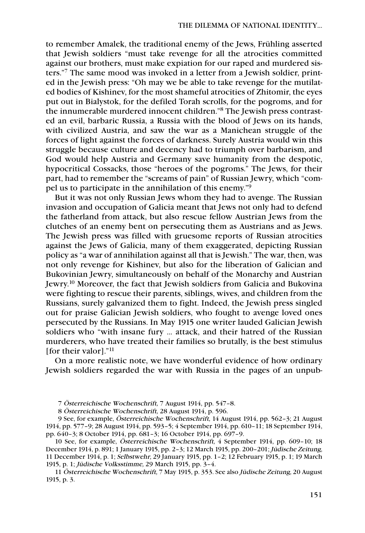to remember Amalek, the traditional enemy of the Jews, Frühling asserted that Jewish soldiers "must take revenge for all the atrocities committed against our brothers, must make expiation for our raped and murdered sisters."7 The same mood was invoked in a letter from a Jewish soldier, printed in the Jewish press: "Oh may we be able to take revenge for the mutilated bodies of Kishinev, for the most shameful atrocities of Zhitomir, the eyes put out in Bialystok, for the defiled Torah scrolls, for the pogroms, and for the innumerable murdered innocent children."8 The Jewish press contrasted an evil, barbaric Russia, a Russia with the blood of Jews on its hands, with civilized Austria, and saw the war as a Manichean struggle of the forces of light against the forces of darkness. Surely Austria would win this struggle because culture and decency had to triumph over barbarism, and God would help Austria and Germany save humanity from the despotic, hypocritical Cossacks, those "heroes of the pogroms." The Jews, for their part, had to remember the "screams of pain" of Russian Jewry, which "compel us to participate in the annihilation of this enemy."9

But it was not only Russian Jews whom they had to avenge. The Russian invasion and occupation of Galicia meant that Jews not only had to defend the fatherland from attack, but also rescue fellow Austrian Jews from the clutches of an enemy bent on persecuting them as Austrians and as Jews. The Jewish press was filled with gruesome reports of Russian atrocities against the Jews of Galicia, many of them exaggerated, depicting Russian policy as "a war of annihilation against all that is Jewish." The war, then, was not only revenge for Kishinev, but also for the liberation of Galician and Bukovinian Jewry, simultaneously on behalf of the Monarchy and Austrian Jewry. <sup>10</sup> Moreover, the fact that Jewish soldiers from Galicia and Bukovina were fighting to rescue their parents, siblings, wives, and children from the Russians, surely galvanized them to fight. Indeed, the Jewish press singled out for praise Galician Jewish soldiers, who fought to avenge loved ones persecuted by the Russians. In May 1915 one writer lauded Galician Jewish soldiers who "with insane fury ... attack, and their hatred of the Russian murderers, who have treated their families so brutally, is the best stimulus [for their valor]."<sup>11</sup>

On a more realistic note, we have wonderful evidence of how ordinary Jewish soldiers regarded the war with Russia in the pages of an unpub-

10 See, for example, Österreichische Wochenschrift, 4 September 1914, pp. 609–10; 18 December 1914, p. 891; 1 January 1915, pp. 2–3; 12 March 1915, pp. 200–201; Jüdische Zeitung, 11 December 1914, p. 1; Selbstwehr, 29 January 1915, pp. 1–2; 12 February 1915, p. 1; 19 March 1915, p. 1; Jüdische Volksstimme, 29 March 1915, pp. 3–4.

11 Österreichische Wochenschrift, 7 May 1915, p. 353. See also Jüdische Zeitung, 20 August 1915, p. 3.

<sup>7</sup> Österreichische Wochenschrift, 7 August 1914, pp. 547–8.

<sup>8</sup> Österreichische Wochenschrift, 28 August 1914, p. 596.

<sup>9</sup> See, for example, Österreichische Wochenschrift, 14 August 1914, pp. 562–3; 21 August 1914, pp. 577–9; 28 August 1914, pp. 593–5; 4 September 1914, pp. 610–11; 18 September 1914, pp. 640–3; 8 October 1914, pp. 681–3; 16 October 1914, pp. 697–9.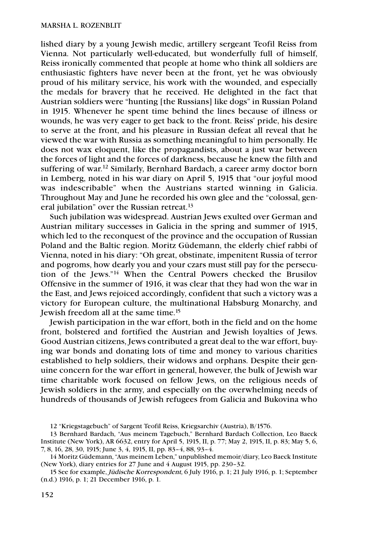lished diary by a young Jewish medic, artillery sergeant Teofil Reiss from Vienna. Not particularly well-educated, but wonderfully full of himself, Reiss ironically commented that people at home who think all soldiers are enthusiastic fighters have never been at the front, yet he was obviously proud of his military service, his work with the wounded, and especially the medals for bravery that he received. He delighted in the fact that Austrian soldiers were "hunting [the Russians] like dogs" in Russian Poland in 1915. Whenever he spent time behind the lines because of illness or wounds, he was very eager to get back to the front. Reiss' pride, his desire to serve at the front, and his pleasure in Russian defeat all reveal that he viewed the war with Russia as something meaningful to him personally. He does not wax eloquent, like the propagandists, about a just war between the forces of light and the forces of darkness, because he knew the filth and suffering of war.<sup>12</sup> Similarly, Bernhard Bardach, a career army doctor born in Lemberg, noted in his war diary on April 5, 1915 that "our joyful mood was indescribable" when the Austrians started winning in Galicia. Throughout May and June he recorded his own glee and the "colossal, general jubilation" over the Russian retreat.13

Such jubilation was widespread. Austrian Jews exulted over German and Austrian military successes in Galicia in the spring and summer of 1915, which led to the reconquest of the province and the occupation of Russian Poland and the Baltic region. Moritz Güdemann, the elderly chief rabbi of Vienna, noted in his diary: "Oh great, obstinate, impenitent Russia of terror and pogroms, how dearly you and your czars must still pay for the persecution of the Jews."14 When the Central Powers checked the Brusilov Offensive in the summer of 1916, it was clear that they had won the war in the East, and Jews rejoiced accordingly, confident that such a victory was a victory for European culture, the multinational Habsburg Monarchy, and Jewish freedom all at the same time.15

Jewish participation in the war effort, both in the field and on the home front, bolstered and fortified the Austrian and Jewish loyalties of Jews. Good Austrian citizens, Jews contributed a great deal to the war effort, buying war bonds and donating lots of time and money to various charities established to help soldiers, their widows and orphans. Despite their genuine concern for the war effort in general, however, the bulk of Jewish war time charitable work focused on fellow Jews, on the religious needs of Jewish soldiers in the army, and especially on the overwhelming needs of hundreds of thousands of Jewish refugees from Galicia and Bukovina who

<sup>12 &</sup>quot;Kriegstagebuch" of Sargent Teofil Reiss, Kriegsarchiv (Austria), B/1576.

<sup>13</sup> Bernhard Bardach, "Aus meinem Tagebuch," Bernhard Bardach Collection, Leo Baeck Institute (New York), AR 6632, entry for April 5, 1915, II, p. 77; May 2, 1915, II, p. 83; May 5, 6, 7, 8, 16, 28, 30, 1915; June 3, 4, 1915, II, pp. 83–4, 88, 93–4.

<sup>14</sup> Moritz Güdemann, "Aus meinem Leben," unpublished memoir/diary, Leo Baeck Institute (New York), diary entries for 27 June and 4 August 1915, pp. 230–32.

<sup>15</sup> See for example, Jüdische Korrespondent, 6 July 1916, p. 1; 21 July 1916, p. 1; September (n.d.) 1916, p. 1; 21 December 1916, p. 1.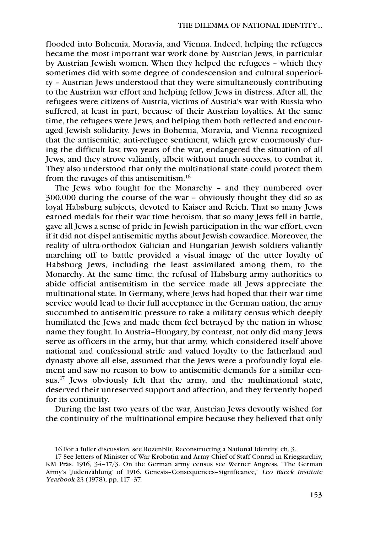flooded into Bohemia, Moravia, and Vienna. Indeed, helping the refugees became the most important war work done by Austrian Jews, in particular by Austrian Jewish women. When they helped the refugees – which they sometimes did with some degree of condescension and cultural superiority – Austrian Jews understood that they were simultaneously contributing to the Austrian war effort and helping fellow Jews in distress. After all, the refugees were citizens of Austria, victims of Austria's war with Russia who suffered, at least in part, because of their Austrian loyalties. At the same time, the refugees were Jews, and helping them both reflected and encouraged Jewish solidarity. Jews in Bohemia, Moravia, and Vienna recognized that the antisemitic, anti-refugee sentiment, which grew enormously during the difficult last two years of the war, endangered the situation of all Jews, and they strove valiantly, albeit without much success, to combat it. They also understood that only the multinational state could protect them from the ravages of this antisemitism.16

The Jews who fought for the Monarchy – and they numbered over 300,000 during the course of the war – obviously thought they did so as loyal Habsburg subjects, devoted to Kaiser and Reich. That so many Jews earned medals for their war time heroism, that so many Jews fell in battle, gave all Jews a sense of pride in Jewish participation in the war effort, even if it did not dispel antisemitic myths about Jewish cowardice. Moreover, the reality of ultra-orthodox Galician and Hungarian Jewish soldiers valiantly marching off to battle provided a visual image of the utter loyalty of Habsburg Jews, including the least assimilated among them, to the Monarchy. At the same time, the refusal of Habsburg army authorities to abide official antisemitism in the service made all Jews appreciate the multinational state. In Germany, where Jews had hoped that their war time service would lead to their full acceptance in the German nation, the army succumbed to antisemitic pressure to take a military census which deeply humiliated the Jews and made them feel betrayed by the nation in whose name they fought. In Austria–Hungary, by contrast, not only did many Jews serve as officers in the army, but that army, which considered itself above national and confessional strife and valued loyalty to the fatherland and dynasty above all else, assumed that the Jews were a profoundly loyal element and saw no reason to bow to antisemitic demands for a similar census.17 Jews obviously felt that the army, and the multinational state, deserved their unreserved support and affection, and they fervently hoped for its continuity.

During the last two years of the war, Austrian Jews devoutly wished for the continuity of the multinational empire because they believed that only

<sup>16</sup> For a fuller discussion, see Rozenblit, Reconstructing a National Identity, ch. 3.

<sup>17</sup> See letters of Minister of War Krobotin and Army Chief of Staff Conrad in Kriegsarchiv, KM Präs. 1916, 34–17/3. On the German army census see Werner Angress, "The German Army's 'Judenzählung' of 1916. Genesis–Consequences–Significance," Leo Baeck Institute Yearbook 23 (1978), pp. 117–37.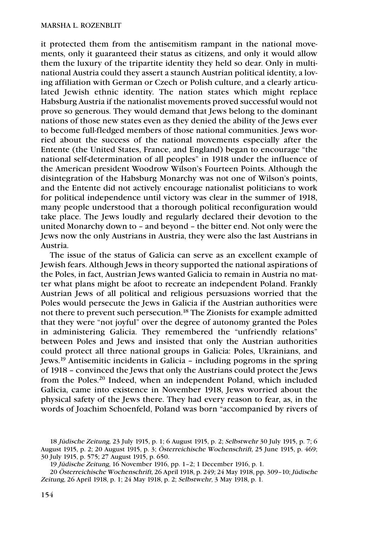it protected them from the antisemitism rampant in the national movements, only it guaranteed their status as citizens, and only it would allow them the luxury of the tripartite identity they held so dear. Only in multinational Austria could they assert a staunch Austrian political identity, a loving affiliation with German or Czech or Polish culture, and a clearly articulated Jewish ethnic identity. The nation states which might replace Habsburg Austria if the nationalist movements proved successful would not prove so generous. They would demand that Jews belong to the dominant nations of those new states even as they denied the ability of the Jews ever to become full-fledged members of those national communities. Jews worried about the success of the national movements especially after the Entente (the United States, France, and England) began to encourage "the national self-determination of all peoples" in 1918 under the influence of the American president Woodrow Wilson's Fourteen Points. Although the disintegration of the Habsburg Monarchy was not one of Wilson's points, and the Entente did not actively encourage nationalist politicians to work for political independence until victory was clear in the summer of 1918, many people understood that a thorough political reconfiguration would take place. The Jews loudly and regularly declared their devotion to the united Monarchy down to – and beyond – the bitter end. Not only were the Jews now the only Austrians in Austria, they were also the last Austrians in Austria.

The issue of the status of Galicia can serve as an excellent example of Jewish fears. Although Jews in theory supported the national aspirations of the Poles, in fact, Austrian Jews wanted Galicia to remain in Austria no matter what plans might be afoot to recreate an independent Poland. Frankly Austrian Jews of all political and religious persuasions worried that the Poles would persecute the Jews in Galicia if the Austrian authorities were not there to prevent such persecution.18 The Zionists for example admitted that they were "not joyful" over the degree of autonomy granted the Poles in administering Galicia. They remembered the "unfriendly relations" between Poles and Jews and insisted that only the Austrian authorities could protect all three national groups in Galicia: Poles, Ukrainians, and Jews.19 Antisemitic incidents in Galicia – including pogroms in the spring of 1918 – convinced the Jews that only the Austrians could protect the Jews from the Poles.20 Indeed, when an independent Poland, which included Galicia, came into existence in November 1918, Jews worried about the physical safety of the Jews there. They had every reason to fear, as, in the words of Joachim Schoenfeld, Poland was born "accompanied by rivers of

<sup>18</sup> Jüdische Zeitung, 23 July 1915, p. 1; 6 August 1915, p. 2; Selbstwehr 30 July 1915, p. 7; 6 August 1915, p. 2; 20 August 1915, p. 3; Österreichische Wochenschrift, 25 June 1915, p. 469; 30 July 1915, p. 575; 27 August 1915, p. 650.

<sup>19</sup> Jüdische Zeitung, 16 November 1916, pp. 1–2; 1 December 1916, p. 1.

<sup>20</sup> Österreichische Wochenschrift, 26 April 1918, p. 249; 24 May 1918, pp. 309–10; Jüdische Zeitung, 26 April 1918, p. 1; 24 May 1918, p. 2; Selbstwehr, 3 May 1918, p. 1.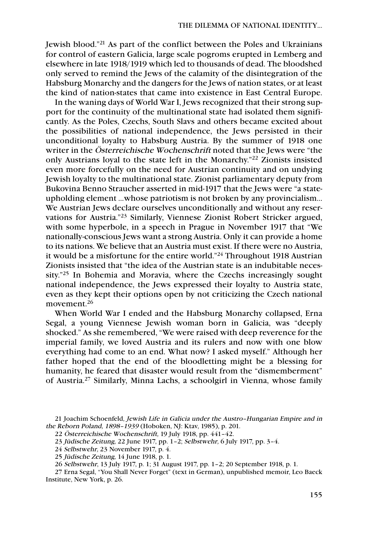Jewish blood."21 As part of the conflict between the Poles and Ukrainians for control of eastern Galicia, large scale pogroms erupted in Lemberg and elsewhere in late 1918/1919 which led to thousands of dead. The bloodshed only served to remind the Jews of the calamity of the disintegration of the Habsburg Monarchy and the dangers for the Jews of nation states, or at least the kind of nation-states that came into existence in East Central Europe.

In the waning days of World War I, Jews recognized that their strong support for the continuity of the multinational state had isolated them significantly. As the Poles, Czechs, South Slavs and others became excited about the possibilities of national independence, the Jews persisted in their unconditional loyalty to Habsburg Austria. By the summer of 1918 one writer in the Österreichische Wochenschrift noted that the Jews were "the only Austrians loyal to the state left in the Monarchy."22 Zionists insisted even more forcefully on the need for Austrian continuity and on undying Jewish loyalty to the multinational state. Zionist parliamentary deputy from Bukovina Benno Straucher asserted in mid-1917 that the Jews were "a stateupholding element …whose patriotism is not broken by any provincialism… We Austrian Jews declare ourselves unconditionally and without any reservations for Austria."23 Similarly, Viennese Zionist Robert Stricker argued, with some hyperbole, in a speech in Prague in November 1917 that "We nationally-conscious Jews want a strong Austria. Only it can provide a home to its nations. We believe that an Austria must exist. If there were no Austria, it would be a misfortune for the entire world."24 Throughout 1918 Austrian Zionists insisted that "the idea of the Austrian state is an indubitable necessity."25 In Bohemia and Moravia, where the Czechs increasingly sought national independence, the Jews expressed their loyalty to Austria state, even as they kept their options open by not criticizing the Czech national movement.26

When World War I ended and the Habsburg Monarchy collapsed, Erna Segal, a young Viennese Jewish woman born in Galicia, was "deeply shocked." As she remembered, "We were raised with deep reverence for the imperial family, we loved Austria and its rulers and now with one blow everything had come to an end. What now? I asked myself." Although her father hoped that the end of the bloodletting might be a blessing for humanity, he feared that disaster would result from the "dismemberment" of Austria.27 Similarly, Minna Lachs, a schoolgirl in Vienna, whose family

26 Selbstwehr, 13 July 1917, p. 1; 31 August 1917, pp. 1–2; 20 September 1918, p. 1.

27 Erna Segal, "You Shall Never Forget" (text in German), unpublished memoir, Leo Baeck Institute, New York, p. 26.

<sup>21</sup> Joachim Schoenfeld, Jewish Life in Galicia under the Austro–Hungarian Empire and in the Reborn Poland, 1898–1939 (Hoboken, NJ: Ktav, 1985), p. 201.

<sup>22</sup> Österreichische Wochenschrift, 19 July 1918, pp. 441–42.

<sup>23</sup> Jüdische Zeitung, 22 June 1917, pp. 1–2; Selbstwehr, 6 July 1917, pp. 3–4.

<sup>24</sup> Selbstwehr, 23 November 1917, p. 4.

<sup>25</sup> Jüdische Zeitung, 14 June 1918, p. 1.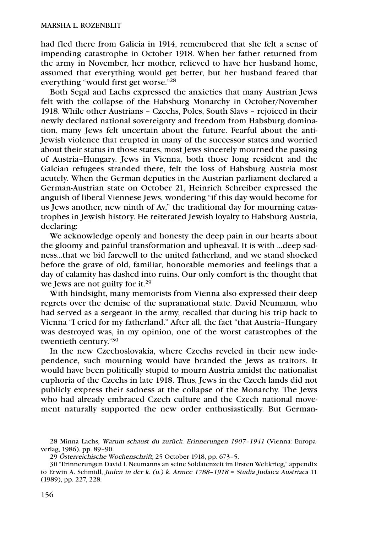had fled there from Galicia in 1914, remembered that she felt a sense of impending catastrophe in October 1918. When her father returned from the army in November, her mother, relieved to have her husband home, assumed that everything would get better, but her husband feared that everything "would first get worse."28

Both Segal and Lachs expressed the anxieties that many Austrian Jews felt with the collapse of the Habsburg Monarchy in October/November 1918. While other Austrians – Czechs, Poles, South Slavs – rejoiced in their newly declared national sovereignty and freedom from Habsburg domination, many Jews felt uncertain about the future. Fearful about the anti-Jewish violence that erupted in many of the successor states and worried about their status in those states, most Jews sincerely mourned the passing of Austria–Hungary. Jews in Vienna, both those long resident and the Galcian refugees stranded there, felt the loss of Habsburg Austria most acutely. When the German deputies in the Austrian parliament declared a German-Austrian state on October 21, Heinrich Schreiber expressed the anguish of liberal Viennese Jews, wondering "if this day would become for us Jews another, new ninth of Av," the traditional day for mourning catastrophes in Jewish history. He reiterated Jewish loyalty to Habsburg Austria, declaring:

We acknowledge openly and honesty the deep pain in our hearts about the gloomy and painful transformation and upheaval. It is with ...deep sadness...that we bid farewell to the united fatherland, and we stand shocked before the grave of old, familiar, honorable memories and feelings that a day of calamity has dashed into ruins. Our only comfort is the thought that we Jews are not guilty for it.<sup>29</sup>

With hindsight, many memorists from Vienna also expressed their deep regrets over the demise of the supranational state. David Neumann, who had served as a sergeant in the army, recalled that during his trip back to Vienna "I cried for my fatherland." After all, the fact "that Austria–Hungary was destroyed was, in my opinion, one of the worst catastrophes of the twentieth century."30

In the new Czechoslovakia, where Czechs reveled in their new independence, such mourning would have branded the Jews as traitors. It would have been politically stupid to mourn Austria amidst the nationalist euphoria of the Czechs in late 1918. Thus, Jews in the Czech lands did not publicly express their sadness at the collapse of the Monarchy. The Jews who had already embraced Czech culture and the Czech national movement naturally supported the new order enthusiastically. But German-

<sup>28</sup> Minna Lachs, Warum schaust du zurück. Erinnerungen 1907–1941 (Vienna: Europaverlag, 1986), pp. 89–90.

<sup>29</sup> Österreichische Wochenschrift, 25 October 1918, pp. 673–5.

<sup>30 &</sup>quot;Erinnerungen David I. Neumanns an seine Soldatenzeit im Ersten Weltkrieg," appendix to Erwin A. Schmidl, Juden in der k. (u.) k. Armee 1788–1918 = Studia Judaica Austriaca 11 (1989), pp. 227, 228.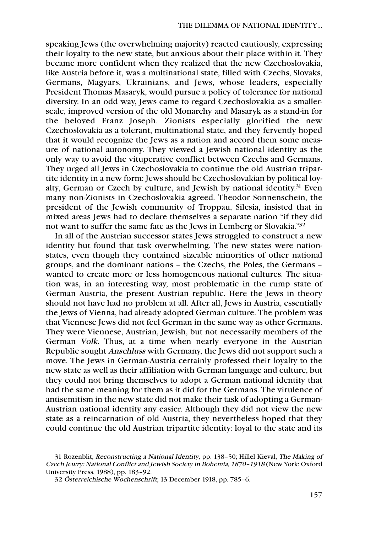speaking Jews (the overwhelming majority) reacted cautiously, expressing their loyalty to the new state, but anxious about their place within it. They became more confident when they realized that the new Czechoslovakia, like Austria before it, was a multinational state, filled with Czechs, Slovaks, Germans, Magyars, Ukrainians, and Jews, whose leaders, especially President Thomas Masaryk, would pursue a policy of tolerance for national diversity. In an odd way, Jews came to regard Czechoslovakia as a smallerscale, improved version of the old Monarchy and Masaryk as a stand-in for the beloved Franz Joseph. Zionists especially glorified the new Czechoslovakia as a tolerant, multinational state, and they fervently hoped that it would recognize the Jews as a nation and accord them some measure of national autonomy. They viewed a Jewish national identity as the only way to avoid the vituperative conflict between Czechs and Germans. They urged all Jews in Czechoslovakia to continue the old Austrian tripartite identity in a new form: Jews should be Czechoslovakian by political loyalty, German or Czech by culture, and Jewish by national identity.<sup>31</sup> Even many non-Zionists in Czechoslovakia agreed. Theodor Sonnenschein, the president of the Jewish community of Troppau, Silesia, insisted that in mixed areas Jews had to declare themselves a separate nation "if they did not want to suffer the same fate as the Jews in Lemberg or Slovakia."32

In all of the Austrian successor states Jews struggled to construct a new identity but found that task overwhelming. The new states were nationstates, even though they contained sizeable minorities of other national groups, and the dominant nations – the Czechs, the Poles, the Germans – wanted to create more or less homogeneous national cultures. The situation was, in an interesting way, most problematic in the rump state of German Austria, the present Austrian republic. Here the Jews in theory should not have had no problem at all. After all, Jews in Austria, essentially the Jews of Vienna, had already adopted German culture. The problem was that Viennese Jews did not feel German in the same way as other Germans. They were Viennese, Austrian, Jewish, but not necessarily members of the German Volk. Thus, at a time when nearly everyone in the Austrian Republic sought Anschluss with Germany, the Jews did not support such a move. The Jews in German-Austria certainly professed their loyalty to the new state as well as their affiliation with German language and culture, but they could not bring themselves to adopt a German national identity that had the same meaning for them as it did for the Germans. The virulence of antisemitism in the new state did not make their task of adopting a German-Austrian national identity any easier. Although they did not view the new state as a reincarnation of old Austria, they nevertheless hoped that they could continue the old Austrian tripartite identity: loyal to the state and its

<sup>31</sup> Rozenblit, Reconstructing a National Identity, pp. 138–50; Hillel Kieval, The Making of Czech Jewry: National Conflict and Jewish Society in Bohemia, 1870–1918 (New York: Oxford University Press, 1988), pp. 183–92.

<sup>32</sup> Österreichische Wochenschrift, 13 December 1918, pp. 785–6.